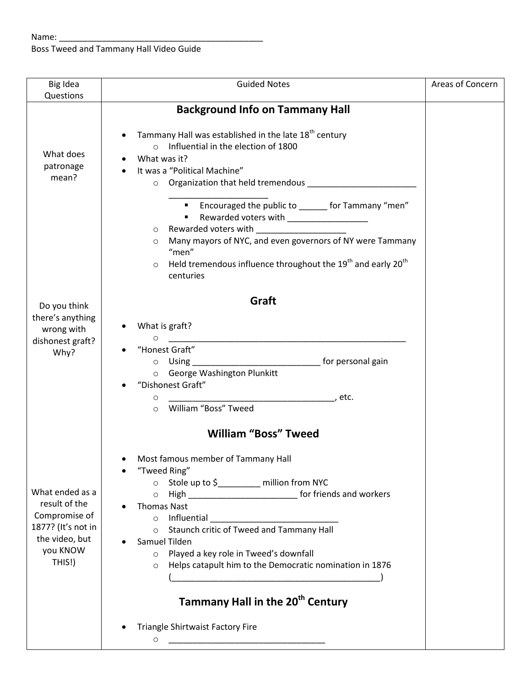Boss Tweed and Tammany Hall Video Guide

| Big Idea                                                                                                        | <b>Guided Notes</b>                                                                                                                                                                                                                                                                                                                                                                                                                                                                                                  | Areas of Concern |
|-----------------------------------------------------------------------------------------------------------------|----------------------------------------------------------------------------------------------------------------------------------------------------------------------------------------------------------------------------------------------------------------------------------------------------------------------------------------------------------------------------------------------------------------------------------------------------------------------------------------------------------------------|------------------|
| Questions                                                                                                       |                                                                                                                                                                                                                                                                                                                                                                                                                                                                                                                      |                  |
|                                                                                                                 | <b>Background Info on Tammany Hall</b>                                                                                                                                                                                                                                                                                                                                                                                                                                                                               |                  |
| What does<br>patronage<br>mean?                                                                                 | Tammany Hall was established in the late 18 <sup>th</sup> century<br>o Influential in the election of 1800<br>What was it?<br>It was a "Political Machine"<br>o Organization that held tremendous __________________<br>" Encouraged the public to ______ for Tammany "men"<br>Rewarded voters with ______________________<br>$\circ$                                                                                                                                                                                |                  |
|                                                                                                                 | Many mayors of NYC, and even governors of NY were Tammany<br>$\circ$<br>"men"<br>Held tremendous influence throughout the $19th$ and early $20th$<br>$\circ$<br>centuries                                                                                                                                                                                                                                                                                                                                            |                  |
| Do you think                                                                                                    | Graft                                                                                                                                                                                                                                                                                                                                                                                                                                                                                                                |                  |
| there's anything<br>wrong with<br>dishonest graft?<br>Why?                                                      | What is graft?<br>$\circ$<br>"Honest Graft"<br><b>Example 2016</b> for personal gain<br>$\circ$ Using<br>o George Washington Plunkitt<br>"Dishonest Graft"<br>, etc.<br>$\circ$<br>William "Boss" Tweed<br>$\circ$                                                                                                                                                                                                                                                                                                   |                  |
|                                                                                                                 | <b>William "Boss" Tweed</b>                                                                                                                                                                                                                                                                                                                                                                                                                                                                                          |                  |
| What ended as a<br>result of the<br>Compromise of<br>1877? (It's not in<br>the video, but<br>you KNOW<br>THIS!) | Most famous member of Tammany Hall<br>"Tweed Ring"<br>Stole up to \$_________ million from NYC<br>$\circ$<br>High _________________________________ for friends and workers<br>$\circ$<br><b>Thomas Nast</b><br>$\circ$<br>Staunch critic of Tweed and Tammany Hall<br>$\circ$<br>Samuel Tilden<br>Played a key role in Tweed's downfall<br>$\circ$<br>Helps catapult him to the Democratic nomination in 1876<br>$\circ$<br>Tammany Hall in the 20 <sup>th</sup> Century<br><b>Triangle Shirtwaist Factory Fire</b> |                  |
|                                                                                                                 | $\circ$                                                                                                                                                                                                                                                                                                                                                                                                                                                                                                              |                  |